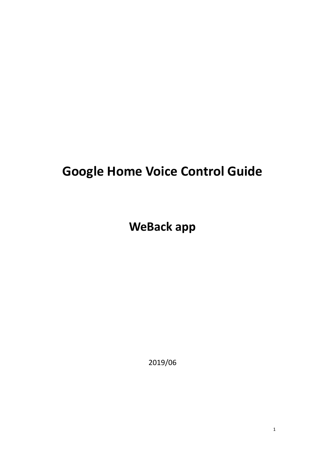# **Google Home Voice Control Guide**

**WeBack app**

2019/06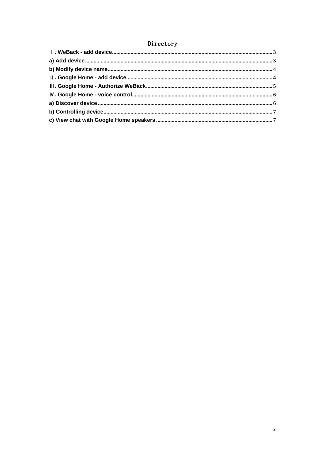### Directory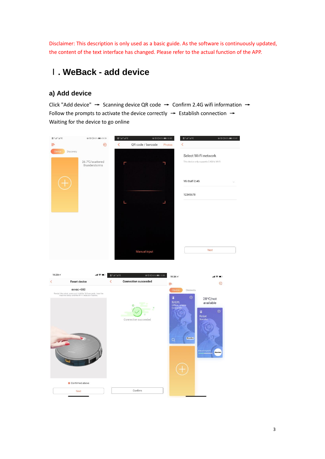Disclaimer: This description is only used as a basic guide. As the software is continuously updated, the content of the text interface has changed. Please refer to the actual function of the APP.

### <span id="page-2-0"></span>Ⅰ**. WeBack - add device**

### <span id="page-2-1"></span>**a) Add device**

Click "Add device"  $\rightarrow$  Scanning device QR code  $\rightarrow$  Confirm 2.4G wifi information  $\rightarrow$ Follow the prompts to activate the device correctly  $\rightarrow$  Establish connection  $\rightarrow$ Waiting for the device to go online

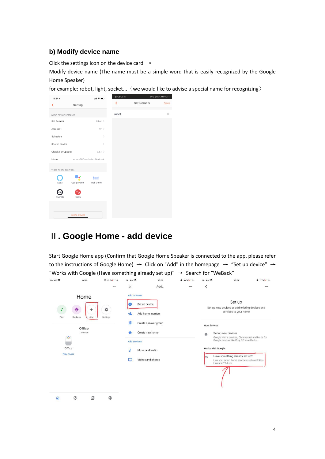#### <span id="page-3-0"></span>**b) Modify device name**

Click the settings icon on the device card  $\rightarrow$ 

Modify device name (The name must be a simple word that is easily recognized by the Google Home Speaker)

for example: robot, light, socket... (we would like to advise a special name for recognizing)

<span id="page-3-1"></span>

| 11:34 $\tau$                 |                      | 副金庫                         | ■光晶光線 | > THE R2% (10:16) |
|------------------------------|----------------------|-----------------------------|-------|-------------------|
| ∢                            | Setting              |                             | K     | Set Remark        |
|                              |                      |                             |       |                   |
| <b>BASIC DEVICE SETTINGS</b> |                      |                             | robot |                   |
| Set Remark                   |                      | Robot >                     |       |                   |
| Area unit                    |                      | $ft^2$ >                    |       |                   |
| Schedule                     |                      | $\,$                        |       |                   |
| Shared device                |                      | $\,$                        |       |                   |
| Check For Update             |                      | $3.6.1$ >                   |       |                   |
|                              |                      |                             |       |                   |
| Model                        |                      | exvac-660-ec-fa-bc-84-dc-e4 |       |                   |
| THIRD PARTY CONTROL          |                      |                             |       |                   |
|                              |                      |                             |       |                   |
| Alexa                        | GoogleHome           | ≞m#<br><b>Tmall Genie</b>   |       |                   |
|                              |                      |                             |       |                   |
|                              |                      |                             |       |                   |
| DuerOS                       | XiaoAi               |                             |       |                   |
|                              |                      |                             |       |                   |
|                              | <b>Delete Device</b> |                             |       |                   |
|                              |                      |                             |       |                   |

### Ⅱ**. Google Home - add device**

Start Google Home app (Confirm that Google Home Speaker is connected to the app, please refer to the instructions of Google Home)  $\rightarrow$  Click on "Add" in the homepage  $\rightarrow$  "Set up device"  $\rightarrow$ "Works with Google (Have something already set up)"  $\rightarrow$  Search for "WeBack"

| No SIM 今                          | 10:54                                                                         | $@15\%1$ +    | No SIM 〒                                                                      | 10:55                                                                                                               | $@16\%1$ + | No SIM 〒                 | 10:56                                                                                                                                                                                                                                                                                                                         | $@17\%$   + |
|-----------------------------------|-------------------------------------------------------------------------------|---------------|-------------------------------------------------------------------------------|---------------------------------------------------------------------------------------------------------------------|------------|--------------------------|-------------------------------------------------------------------------------------------------------------------------------------------------------------------------------------------------------------------------------------------------------------------------------------------------------------------------------|-------------|
|                                   |                                                                               |               | $\times$                                                                      | Add                                                                                                                 |            | $\overline{\phantom{0}}$ |                                                                                                                                                                                                                                                                                                                               |             |
| Play<br>⊕<br>Office<br>Play music | Home<br>$\hat{\mathbf{Q}}$<br>$^{+}$<br>Add<br>Routines<br>Office<br>1 device | *<br>Settings | <b>Add to Home</b><br>o<br>$+2$<br><b>Id</b><br>n<br><b>Add services</b><br>Г | Set up device<br>Add home member<br>Create speaker group<br>Create new home<br>Music and audio<br>Videos and photos |            | New devices<br>合<br>l≔⊃  | Set up<br>Set up new devices or add existing devices and<br>services to your home<br>Set up new devices<br>Google Home devices, Chromecast and Made for<br>Google devices like C by GE smart bulbs<br>Works with Google<br>Have something already set up?<br>Link your smart home services such as Philips<br>Hue and TP-Link |             |
| $\Omega$                          | 回<br>$\circledcirc$                                                           | $^{\circ}$    |                                                                               |                                                                                                                     |            |                          |                                                                                                                                                                                                                                                                                                                               |             |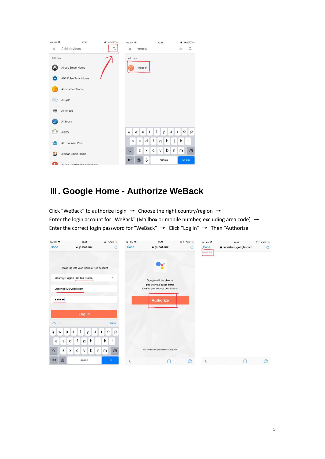| No SIM 宇                 | 10:57                        | $@18%17+$ | No SIM 今<br>10:59                   | $@19\%$   +                   |  |
|--------------------------|------------------------------|-----------|-------------------------------------|-------------------------------|--|
| $\times$                 | Add devices                  | Q         | WeBack<br>$\times$                  | $\alpha$<br>Ø                 |  |
| Add new                  |                              |           | Add new                             |                               |  |
|                          | Abode Smart Home             |           | WeBack<br>⊝                         |                               |  |
| ADT                      | <b>ADT Pulse SmartHome</b>   |           |                                     |                               |  |
|                          | Adurosmart Home              |           |                                     |                               |  |
| $\frac{1}{n+1}$          | Ai-Sync                      |           |                                     |                               |  |
| $\widehat{\mathfrak{m}}$ | Al.rimoco                    |           |                                     |                               |  |
| <b>Cair</b>              | AirTouch                     |           |                                     |                               |  |
| <b>C. R.</b>             | AiSEG                        |           | t<br>q<br>W<br>e<br>$\mathsf{r}$    | Î.<br>У<br>u<br>$\circ$<br>p  |  |
| fatc                     | ALC connect Plus             |           | f<br>d<br>S<br>g<br>a               | k<br>h<br>J<br>I              |  |
|                          | Alcidae Smart Home           |           | Z<br>С<br>V<br>♦<br>X               | b<br>n<br>m<br>$\circledcirc$ |  |
| и                        | Alton Ctroom with Chromogoot |           | $\overline{\mathbb{Q}}$<br>123<br>⊕ | Szukaj<br>spacja              |  |

# <span id="page-4-0"></span>Ⅲ**. Google Home - Authorize WeBack**

Click "WeBack" to authorize login → Choose the right country/region → Enter the login account for "WeBack" (Mailbox or mobile number, excluding area code)  $\rightarrow$ Enter the correct login password for "WeBack" → Click "Log In" → Then "Authorize"

| No SIM 今                                    | 11:02                                      | $@19\%$ +           | No SIM 宇 | 11:07                                                             | $Q$ 22%        | No SIM <b>全</b>      | 11:08                | $Q$ 23%        |
|---------------------------------------------|--------------------------------------------|---------------------|----------|-------------------------------------------------------------------|----------------|----------------------|----------------------|----------------|
| Done                                        | $\rightarrow$ yubot.link                   | $\mathcal{C}$       | Done     | $\rightarrow$ yubot.link                                          | $\mathcal{C}$  | Done                 | assistant.google.com | $\mathfrak{C}$ |
|                                             | Please log into your WeBack App account    |                     |          |                                                                   |                | Learnita now linked. |                      |                |
|                                             | Country/Region United States               | $\mathbf v$         |          | Google will be able to:                                           |                |                      |                      |                |
|                                             | yugongdev@yubot.com                        |                     |          | Receive your public profile<br>Control your devices over internet |                |                      |                      |                |
|                                             |                                            |                     |          | <b>Authorize</b>                                                  |                |                      |                      |                |
|                                             | Log in                                     |                     |          |                                                                   |                |                      |                      |                |
| $\wedge$                                    |                                            | Done                |          |                                                                   |                |                      |                      |                |
| $\mathsf{q}$<br>$\mathbf e$<br>$\mathsf{W}$ | $\mathsf{T}$<br>t<br>y<br>u                | Ť<br>$\circ$<br>p   |          |                                                                   |                |                      |                      |                |
| $\sf S$<br>a                                | j<br>d<br>f<br>h<br>$\mathsf{g}$           | $\mathsf{k}$<br>зL. |          |                                                                   |                |                      |                      |                |
| Z<br>$\Diamond$                             | $\mathsf b$<br>X<br>$\mathsf{C}$<br>$\vee$ | m<br>n<br>$\oslash$ |          | You can revoke permission at any time.                            |                |                      |                      |                |
| 0<br>123                                    | space                                      | Go                  | C        | ń                                                                 | $\circledcirc$ | $\langle$            | m                    | $\odot$        |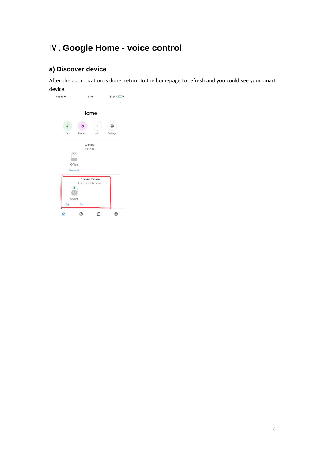# <span id="page-5-0"></span>Ⅳ**. Google Home - voice control**

### <span id="page-5-1"></span>**a) Discover device**

After the authorization is done, return to the homepage to refresh and you could see your smart device.